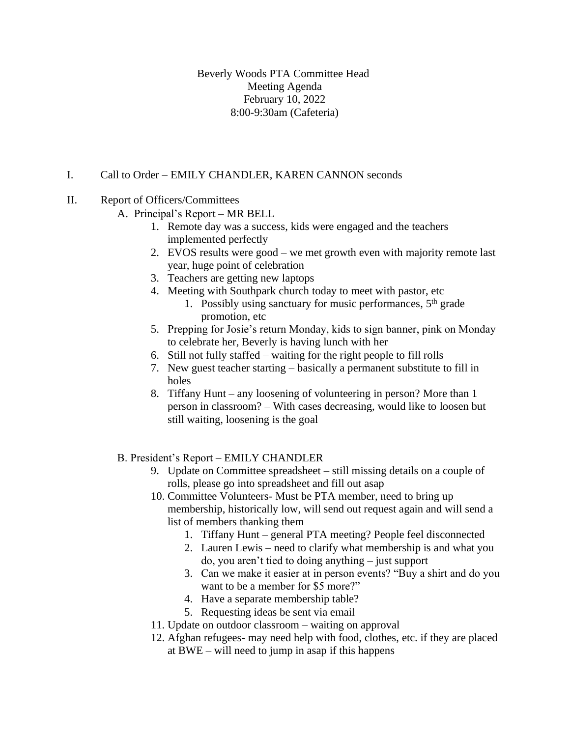Beverly Woods PTA Committee Head Meeting Agenda February 10, 2022 8:00-9:30am (Cafeteria)

# I. Call to Order – EMILY CHANDLER, KAREN CANNON seconds

## II. Report of Officers/Committees

- A. Principal's Report MR BELL
	- 1. Remote day was a success, kids were engaged and the teachers implemented perfectly
	- 2. EVOS results were good we met growth even with majority remote last year, huge point of celebration
	- 3. Teachers are getting new laptops
	- 4. Meeting with Southpark church today to meet with pastor, etc
		- 1. Possibly using sanctuary for music performances,  $5<sup>th</sup>$  grade promotion, etc
	- 5. Prepping for Josie's return Monday, kids to sign banner, pink on Monday to celebrate her, Beverly is having lunch with her
	- 6. Still not fully staffed waiting for the right people to fill rolls
	- 7. New guest teacher starting basically a permanent substitute to fill in holes
	- 8. Tiffany Hunt any loosening of volunteering in person? More than 1 person in classroom? – With cases decreasing, would like to loosen but still waiting, loosening is the goal

## B. President's Report – EMILY CHANDLER

- 9. Update on Committee spreadsheet still missing details on a couple of rolls, please go into spreadsheet and fill out asap
- 10. Committee Volunteers- Must be PTA member, need to bring up membership, historically low, will send out request again and will send a list of members thanking them
	- 1. Tiffany Hunt general PTA meeting? People feel disconnected
	- 2. Lauren Lewis need to clarify what membership is and what you do, you aren't tied to doing anything – just support
	- 3. Can we make it easier at in person events? "Buy a shirt and do you want to be a member for \$5 more?"
	- 4. Have a separate membership table?
	- 5. Requesting ideas be sent via email
- 11. Update on outdoor classroom waiting on approval
- 12. Afghan refugees- may need help with food, clothes, etc. if they are placed at BWE – will need to jump in asap if this happens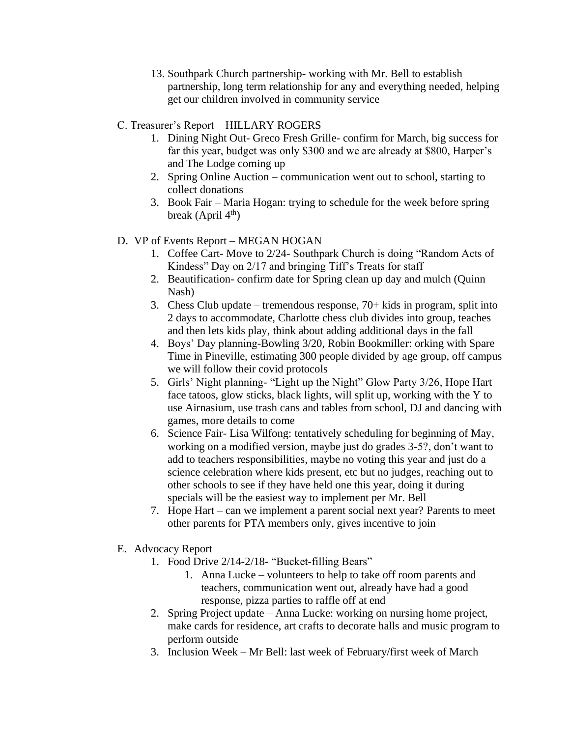- 13. Southpark Church partnership- working with Mr. Bell to establish partnership, long term relationship for any and everything needed, helping get our children involved in community service
- C. Treasurer's Report HILLARY ROGERS
	- 1. Dining Night Out- Greco Fresh Grille- confirm for March, big success for far this year, budget was only \$300 and we are already at \$800, Harper's and The Lodge coming up
	- 2. Spring Online Auction communication went out to school, starting to collect donations
	- 3. Book Fair Maria Hogan: trying to schedule for the week before spring break (April  $4<sup>th</sup>$ )
- D. VP of Events Report MEGAN HOGAN
	- 1. Coffee Cart- Move to 2/24- Southpark Church is doing "Random Acts of Kindess" Day on 2/17 and bringing Tiff's Treats for staff
	- 2. Beautification- confirm date for Spring clean up day and mulch (Quinn Nash)
	- 3. Chess Club update tremendous response, 70+ kids in program, split into 2 days to accommodate, Charlotte chess club divides into group, teaches and then lets kids play, think about adding additional days in the fall
	- 4. Boys' Day planning-Bowling 3/20, Robin Bookmiller: orking with Spare Time in Pineville, estimating 300 people divided by age group, off campus we will follow their covid protocols
	- 5. Girls' Night planning- "Light up the Night" Glow Party 3/26, Hope Hart face tatoos, glow sticks, black lights, will split up, working with the Y to use Airnasium, use trash cans and tables from school, DJ and dancing with games, more details to come
	- 6. Science Fair- Lisa Wilfong: tentatively scheduling for beginning of May, working on a modified version, maybe just do grades 3-5?, don't want to add to teachers responsibilities, maybe no voting this year and just do a science celebration where kids present, etc but no judges, reaching out to other schools to see if they have held one this year, doing it during specials will be the easiest way to implement per Mr. Bell
	- 7. Hope Hart can we implement a parent social next year? Parents to meet other parents for PTA members only, gives incentive to join
- E. Advocacy Report
	- 1. Food Drive 2/14-2/18- "Bucket-filling Bears"
		- 1. Anna Lucke volunteers to help to take off room parents and teachers, communication went out, already have had a good response, pizza parties to raffle off at end
	- 2. Spring Project update Anna Lucke: working on nursing home project, make cards for residence, art crafts to decorate halls and music program to perform outside
	- 3. Inclusion Week Mr Bell: last week of February/first week of March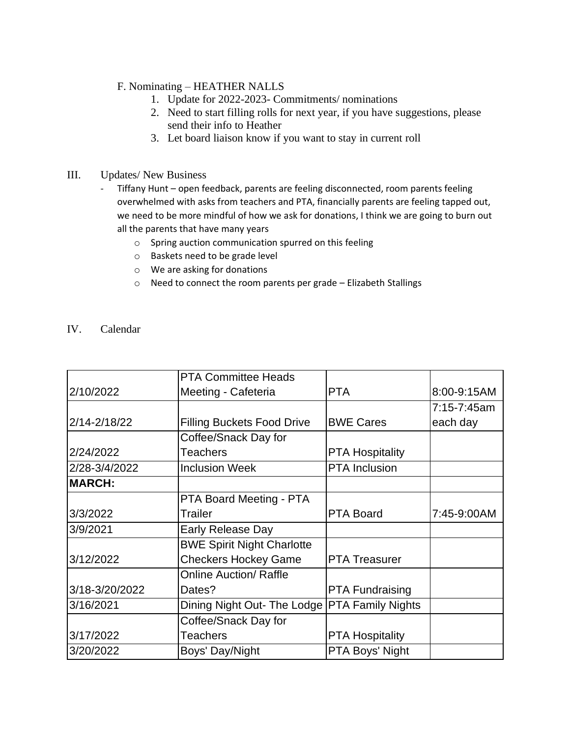### F. Nominating – HEATHER NALLS

- 1. Update for 2022-2023- Commitments/ nominations
- 2. Need to start filling rolls for next year, if you have suggestions, please send their info to Heather
- 3. Let board liaison know if you want to stay in current roll

#### III. Updates/ New Business

- Tiffany Hunt open feedback, parents are feeling disconnected, room parents feeling overwhelmed with asks from teachers and PTA, financially parents are feeling tapped out, we need to be more mindful of how we ask for donations, I think we are going to burn out all the parents that have many years
	- o Spring auction communication spurred on this feeling
	- o Baskets need to be grade level
	- o We are asking for donations
	- o Need to connect the room parents per grade Elizabeth Stallings

### IV. Calendar

|                | <b>PTA Committee Heads</b>                    |                        |             |
|----------------|-----------------------------------------------|------------------------|-------------|
| 2/10/2022      | Meeting - Cafeteria                           | <b>PTA</b>             | 8:00-9:15AM |
|                |                                               |                        | 7:15-7:45am |
| 2/14-2/18/22   | <b>Filling Buckets Food Drive</b>             | <b>BWE Cares</b>       | each day    |
|                | Coffee/Snack Day for                          |                        |             |
| 2/24/2022      | <b>Teachers</b>                               | <b>PTA Hospitality</b> |             |
| 2/28-3/4/2022  | <b>Inclusion Week</b>                         | <b>PTA</b> Inclusion   |             |
| <b>MARCH:</b>  |                                               |                        |             |
|                | PTA Board Meeting - PTA                       |                        |             |
| 3/3/2022       | Trailer                                       | <b>PTA Board</b>       | 7:45-9:00AM |
| 3/9/2021       | <b>Early Release Day</b>                      |                        |             |
|                | <b>BWE Spirit Night Charlotte</b>             |                        |             |
| 3/12/2022      | <b>Checkers Hockey Game</b>                   | <b>PTA Treasurer</b>   |             |
|                | <b>Online Auction/ Raffle</b>                 |                        |             |
| 3/18-3/20/2022 | Dates?                                        | <b>PTA Fundraising</b> |             |
| 3/16/2021      | Dining Night Out- The Lodge PTA Family Nights |                        |             |
|                | Coffee/Snack Day for                          |                        |             |
| 3/17/2022      | <b>Teachers</b>                               | <b>PTA Hospitality</b> |             |
| 3/20/2022      | Boys' Day/Night                               | PTA Boys' Night        |             |